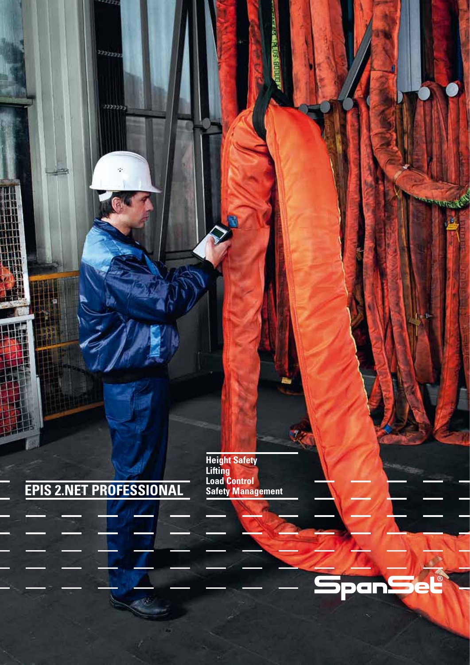2222222

2272223

ų.

÷,

**Lifting Load Control Safety Management Height Safety**

**DO EL DUDO** 



n. K

Ñ,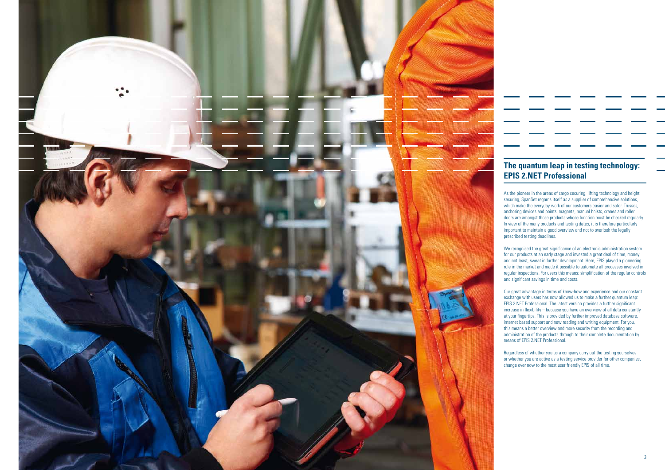doors are amongst those products whose function must be checked regularly.

and not least, sweat in further development. Here, EPIS played a pioneering role in the market and made it possible to automate all processes involved in regular inspections. For users this means: simplification of the regular controls



increase in flexibility – because you have an overview of all data constantly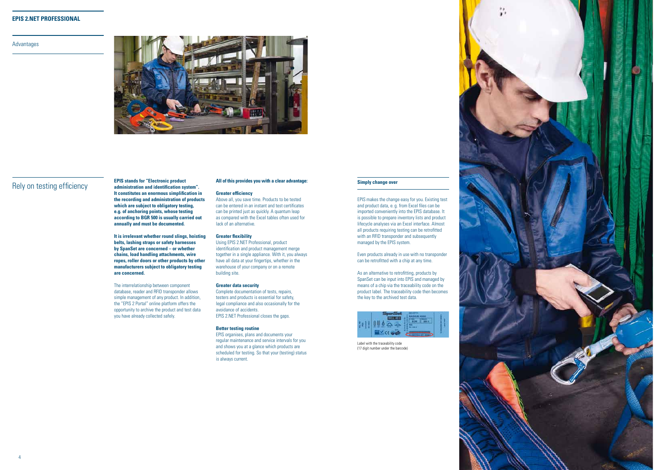

## Advantages



**EPIS stands for "Electronic product** and of this provides you with a clear advantage: Simply change over<br>Rely on testing efficiency administration and identification system". **administration and identification system". It constitutes an enormous simplification in the recording and administration of products which are subject to obligatory testing, e.g. of anchoring points, whose testing according to BGR 500 is usually carried out annually and must be documented.**

> **It is irrelevant whether round slings, hoisting belts, lashing straps or safety harnesses by SpanSet are concerned – or whether chains, load handling attachments, wire ropes, roller doors or other products by other manufacturers subject to obligatory testing are concerned.**

The interrelationship between component database, reader and RFID transponder allows simple management of any product. In addition, the "EPIS 2 Portal" online platform offers the opportunity to archive the product and test data you have already collected safely.

EPIS makes the change easy for you. Existing test and product data, e. g. from Excel files can be imported conveniently into the EPIS database. It is possible to prepare inventory lists and product lifecycle analyses via an Excel interface. Almost all products requiring testing can be retrofitted with an RFID transponder and subsequently managed by the EPIS system.

Even products already in use with no transponder can be retrofitted with a chip at any time.

As an alternative to retrofitting, products by SpanSet can be input into EPIS and managed by means of a chip via the traceability code on the product label. The traceability code then becomes the key to the archived test data.



### **All of this provides you with a clear advantage:**

## **Greater efficiency**

Above all, you save time. Products to be tested can be entered in an instant and test certificates can be printed just as quickly. A quantum leap as compared with the Excel tables often used for lack of an alternative.

### **Greater flexibility**

Using EPIS 2.NET Professional, product identification and product management merge together in a single appliance. With it, you always have all data at your fingertips, whether in the warehouse of your company or on a remote building site.

### **Greater data security**

Complete documentation of tests, repairs, testers and products is essential for safety, legal compliance and also occasionally for the avoidance of accidents. EPIS 2.NET Professional closes the gaps.

### **Better testing routine**

EPIS organises, plans and documents your regular maintenance and service intervals for you and shows you at a glance which products are scheduled for testing. So that your (testing) status is always current.

Label with the traceability code (17 digit number under the barcode)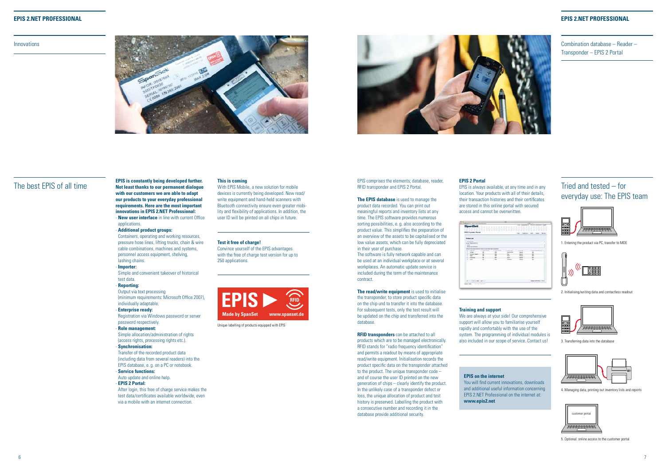Innovations





The best EPIS of all time **EPIS is constantly being developed further. Not least thanks to our permanent dialogue with our customers we are able to adapt our products to your everyday professional requirements. Here are the most important innovations in EPIS 2.NET Professional:** - **New user interface** in line with current Office

applications.

- **Additional product groups:** 

Containers, operating and working resources, pressure hose lines, lifting trucks, chain & wire cable combinations, machines and systems, personnel access equipment, shelving, lashing chains.

## - **Importer:**

Simple and convenient takeover of historical test data.

### - **Reporting:**

Output via text processing (minimum requirements: Microsoft Office 2007), individually adaptable.

#### - **Enterprise ready:**

Registration via Windows password or server password respectively.

## - **Role management:**

Simple allocation/administration of rights (access rights, processing rights etc.).

## - **Synchronisation:**

Transfer of the recorded product data (including data from several readers) into the EPIS database, e. g. on a PC or notebook.

## - **Service functions:**

Auto update and online help. - **EPIS 2 Portal:** 

After login, this free of charge service makes the test data/certificates available worldwide, even via a mobile with an internet connection.

## **This is coming**

With EPIS Mobile, a new solution for mobile devices is currently being developed. New read/ write equipment and hand-held scanners with Bluetooth connectivity ensure even greater mobility and flexibility of applications. In addition, the user ID will be printed on all chips in future.

## **EPIS 2.NET Professional**

**RFID transponders** can be attached to all products which are to be managed electronically. RFID stands for "radio frequency identification" and permits a readout by means of appropriate read/write equipment. Initialisation records the product specific data on the transponder attached to the product. The unique transponder  $code$ and of course the user ID printed on the new generation of chips – clearly identify the product. In the unlikely case of a transponder defect or loss, the unique allocation of product and test history is preserved. Labelling the product with a consecutive number and recording it in the database provide additional security.

Combination database – Reader – Transponder – EPIS 2 Portal

# Tried and tested – for everyday use: The EPIS team



### EPIS comprises the elements; database, reader, RFID transponder and EPIS 2 Portal.

**The EPIS database** is used to manage the product data recorded. You can print out meaningful reports and inventory lists at any time. The EPIS software provides numerous sorting possibilities, e. g. also according to the product value. This simplifies the preparation of an overview of the assets to be capitalised or the low value assets, which can be fully depreciated in their year of purchase.

> We are always at your side! Our comprehensive support will allow you to familiarise yourself rapidly and comfortably with the use of the system. The programming of individual modules is also included in our scope of service. Contact us!

The software is fully network capable and can be used at an individual workplace or at several workplaces. An automatic update service is included during the term of the maintenance contract.

**The read/write equipment** is used to initialise the transponder, to store product specific data on the chip und to transfer it into the database. For subsequent tests, only the test result will be updated on the chip and transferred into the database.

## **EPIS 2 Portal**

EPIS is always available, at any time and in any

location. Your products with all of their details, their transaction histories and their certificates are stored in this online portal with secured access and cannot be overwritten.

| <b>The Contract</b>                                                                         |  |  |                              |
|---------------------------------------------------------------------------------------------|--|--|------------------------------|
| <b>DOMESTIC</b><br><b>Division Communication</b><br><b>SHEET</b><br><b>Marine Griffmont</b> |  |  |                              |
| the scop last<br>٠<br><b>Channel Co</b>                                                     |  |  |                              |
|                                                                                             |  |  | <b>A camera de vidas aco</b> |

## **EPIS on the internet** You will find current innovations, downloads and additional useful information concerning EPIS 2.NET Professional on the internet at: **www.epis2.net**

#### **Test it free of charge!**

Convince yourself of the EPIS advantages with the free of charge test version for up to 250 applications.

### **Training and support**

Unique labelling of products equipped with EPIS



1. Entering the product via PC, transfer to MDE



2. Initialising/writing data and contactless readout



3. Transferring data into the database



4. Managing data, printing out inventory lists and reports

5. Optional: online access to the customer portal

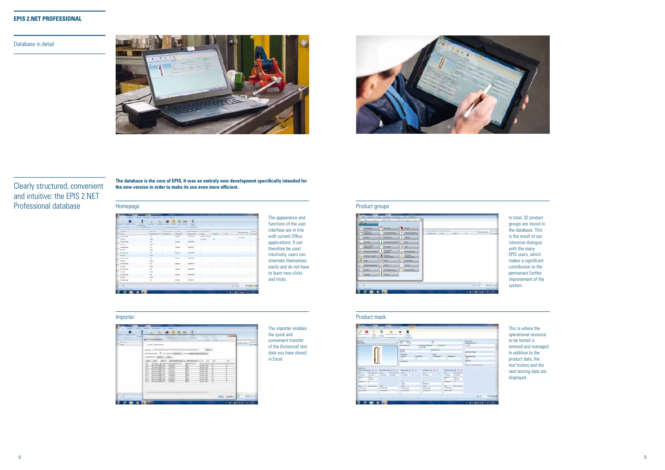Database in detail





**The database is the core of EPIS. It was an entirely new development specifically intended for the new version in order to make its use even more efficient.**



The appearance and functions of the user interface are in line with current Office applications. It can therefore be used intuitively, users can orientate themselves easily and do not have to learn new clicks and tricks.

## Homepage **Product groups Product groups**



In total, 32 product groups are stored in the database. This is the result of our intensive dialogue with the many EPIS users, which makes a significant contribution to the permanent further improvement of the system.

This is where the operational resource to be tested is entered and managed. In addition to the product data, the test history and the next testing date are displayed.



## Importer Product mask



| <b>Standard Telephone</b><br>-<br><b>Summer</b> | L.O. Aproval<br><b>County</b><br><b>The Second</b><br>Gilmourn.                                                                                                                                                                                                                                                                                                                                                                                                                                                                                                                                                                                                                                                                                                                                                                                                                                                                                                                                                                                                                                |                  |
|-------------------------------------------------|------------------------------------------------------------------------------------------------------------------------------------------------------------------------------------------------------------------------------------------------------------------------------------------------------------------------------------------------------------------------------------------------------------------------------------------------------------------------------------------------------------------------------------------------------------------------------------------------------------------------------------------------------------------------------------------------------------------------------------------------------------------------------------------------------------------------------------------------------------------------------------------------------------------------------------------------------------------------------------------------------------------------------------------------------------------------------------------------|------------------|
| <b>Literature</b><br><b>Side of</b><br>.        | School J: Dated 199400<br>Las Ing., I lease trace that young to be real \$15.13 by the end of four and company<br><b>Disco</b><br>Servanter Gampon AL<br>University (Manuel Automobility Modern)<br><b>Slanter cropperty and Litaria</b><br>totage beneficts   Japanese J 1, 2000.<br>u<br>Robins Political English<br>pellerdel Touris<br>Herewice Univers<br>al Internet Wran<br><b>ACTIONARY</b><br>4000000<br>×<br><b>HES</b><br>臨芸<br>m.<br>жt<br><b>Kalandar</b><br><b>BEET UP</b><br><b>MARY AND</b><br>m<br>-<br><b>MATH</b><br><b>Kennedy 19</b><br><b>COL</b><br>person.<br><b>TANK</b><br><b>Links</b><br>Charles Call<br><b>Junemark IX</b><br><b><i>Lakista 200</i></b><br>-<br>m<br><b>DEPTS</b><br>×<br>Numerican 1, 278<br><b>Janiel 215</b><br>Arassad 196<br>Jack Tele<br><b>County</b><br>$\sim$<br>familie (PI)<br>z<br>--<br><b>SEP</b><br>Academica Ph. 2001<br><b>CARD VALUE</b><br><b>Searched</b> (PRD)<br>÷<br>-<br>--<br>and a state<br><b>ABECB</b><br>m<br>Newton H.J.W.<br>bele 29<br>×<br>ᆖ<br><b>UNITED</b><br>w<br>-<br>Reserving PE 109<br><b>Saating PR</b> | personal control |
|                                                 | ×.                                                                                                                                                                                                                                                                                                                                                                                                                                                                                                                                                                                                                                                                                                                                                                                                                                                                                                                                                                                                                                                                                             |                  |

# Clearly structured, convenient and intuitive: the EPIS 2.NET Professional database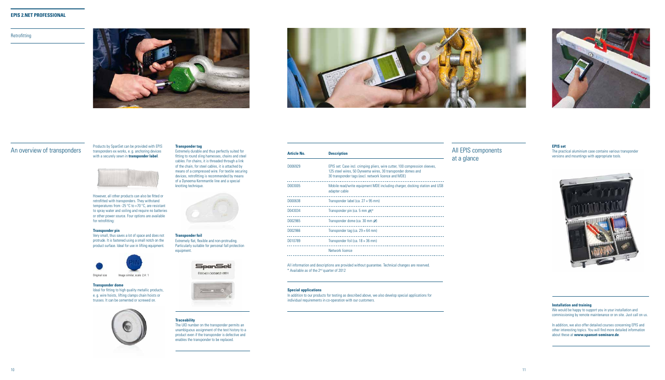**Retrofitting** 





An overview of transponders<br>An overview of transponders ex works, e.g. anchoring devices transponders ex works, e. g. anchoring devices with a securely sewn in **transponder label**.



However, all other products can also be fitted or retrofitted with transponders. They withstand temperatures from -25 °C to +70 °C, are resistant to spray water and soiling and require no batteries or other power source. Four options are available for retrofitting:

# All EPIS components at a glance ession sleeves,

. . . . . . . . . . . . . . . . . ood station and USB

. . . . . . . . . . . . . . . . .

<u>. . . . . . . . . . . . . . . . .</u>

\_\_\_\_\_\_\_\_\_\_\_\_\_\_\_\_\_

<u>. . . . . . . . . . . . . . . . .</u>

<u>. . . . . . . . . . . . . . . . .</u>

. . . . . . . . . . . . . . . . . .

. . . . . . . . . . . . . . . . . .

## **Traceability**

We would be happy to support you in your installation and commissioning by remote maintenance or on site. Just call on us.

The UID number on the transponder permits an unambiguous assignment of the test history to a product even if the transponder is defective and enables the transponder to be replaced.

#### **Transponder pin**

Very small, thus saves a lot of space and does not protrude. It is fastened using a small notch on the product surface. Ideal for use in lifting equipment.

## **EPIS set**

The practical aluminium case contains various transponder versions and mountings with appropriate tools.



## **Installation and training**

In addition, we also offer detailed courses concerning EPIS and other interesting topics. You will find more detailed information about these at **www.spanset-seminare.de**.

## **Transponder tag**

Extremely durable and thus perfectly suited for fitting to round sling harnesses, chains and steel cables. For chains, it is threaded through a link of the chain, for steel cables, it is attached by means of a compressed wire. For textile securing devices, retrofitting is recommended by means of a Dyneema Kernmantle line and a special knotting technique.



## **Transponder dome**

Ideal for fitting to high quality metallic products, e. g. wire hoists, lifting clamps chain hoists or trusses. It can be cemented or screwed on.





**Transponder foil** Extremely flat, flexible and non-protruding. Particularly suitable for personal fall protection equipment.



All information and descriptions are provided without guarantee. Technical changes are reserved. \* Available as of the 2nd quarter of 2012

| D006929 | EPIS set: Case incl. crimping pliers, wire cutter, 100 compressio<br>125 steel wires, 50 Dyneema wires, 30 transponder domes and<br>30 transponder tags (excl. network licence and MDE) |
|---------|-----------------------------------------------------------------------------------------------------------------------------------------------------------------------------------------|
| D003005 | Mobile read/write equipment MDE including charger, docking st<br>adapter cable                                                                                                          |
| D000638 | Transponder label (ca. $27 \times 95$ mm)                                                                                                                                               |
| D043034 | Transponder pin (ca. 5 mm $\varnothing$ )*                                                                                                                                              |
| D002965 | Transponder dome (ca. 30 mm $\varnothing$ )                                                                                                                                             |
| D002966 | Transponder tag (ca. $29 \times 64$ mm)                                                                                                                                                 |
| D010789 | Transponder foil (ca. $18 \times 36$ mm)                                                                                                                                                |
|         | Network licence                                                                                                                                                                         |
|         |                                                                                                                                                                                         |



| <b>Article No.</b> | <b>Description</b>                                                                                                                                                |
|--------------------|-------------------------------------------------------------------------------------------------------------------------------------------------------------------|
| D006929            | EPIS set: Case incl. crimping pliers, wire cutter, 100<br>125 steel wires, 50 Dyneema wires, 30 transponder<br>30 transponder tags (excl. network licence and MDE |
| D003005            | Mobile read/write equipment MDE including charge<br>adapter cable                                                                                                 |
| D000638            | Transponder label (ca. $27 \times 95$ mm)                                                                                                                         |
| D043034            | Transponder pin (ca. 5 mm $\varnothing$ )*                                                                                                                        |
| D002965            | Transponder dome (ca. 30 mm $\varnothing$ )                                                                                                                       |
| D002966            | Transponder tag (ca. $29 \times 64$ mm)                                                                                                                           |
| D010789            | Transponder foil (ca. $18 \times 36$ mm)                                                                                                                          |
|                    | Network licence                                                                                                                                                   |
|                    |                                                                                                                                                                   |

## **Special applications**

In addition to our products for testing as described above, we also develop special applications for individual requirements in co-operation with our customers.